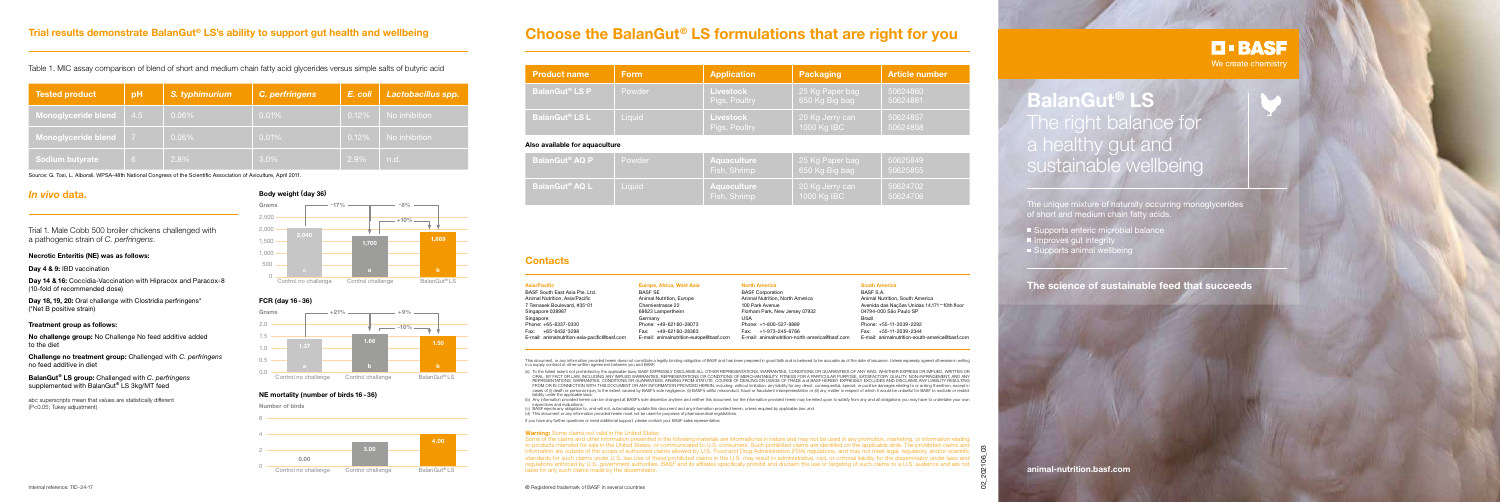## *In vivo* **data.**

Trial 1. Male Cobb 500 broiler chickens challenged with a pathogenic strain of *C. perfringens*.

### **Necrotic Enteritis (NE) was as follows:**

**Day 4 & 9:** IBD vaccination

**Day 14 & 16:** Coccidia-Vaccination with Hipracox and Paracox-8 (10-fold of recommended dose)

**Day 18, 19, 20:** Oral challenge with Clostridia perfringens\* (\*Net B positive strain)

#### **Treatment group as follows:**

**No challenge group:** No Challenge No feed additive added to the diet

**Challenge no treatment group:** Challenged with *C. perfringens* no feed additive in diet

**BalanGut**® **LS group:** Challenged with *C. perfringens* supplemented with BalanGut**®** LS 3kg/MT feed

abc superscripts mean that values are statistically different (P<0.05; Tukey adjustment)

The unique mixture of naturally occurring monoglycerides of short and medium chain fatty acids.

- Supports enteric microbial balance
- $\blacksquare$  Improves gut integrity
- Supports animal wellbeing

# **Choose the BalanGut® LS formulations that are right for you**

**BalanGut**® **LS** The right balance for a healthy gut and sustainable wellbeing

Source: G. Tosi, L. Alborali. WPSA-48th National Congress of the Scientific Association of Aviculture, April 2011.

# **Trial results demonstrate BalanGut® LS's ability to support gut health and wellbeing**

## Table 1. MIC assay comparison of blend of short and medium chain fatty acid glycerides versus simple salts of butyric acid

| <b>Tested product</b>  | pH             | S. typhimurium | C. perfringens | E. coli | Lactobacillus spp. |
|------------------------|----------------|----------------|----------------|---------|--------------------|
| Monoglyceride blend    | 4.5            | $0.06\%$       | 0.01%          | 0.12%   | No inhibition      |
| Monoglyceride blend    | $\overline{7}$ | $0.06\%$       | 0.01%          | 0.12%   | No inhibition      |
| <b>Sodium butyrate</b> | $\overline{6}$ | 2.8%           | $3.0\%$        | 2.9%    | n.d.               |

**animal-nutrition.basf.com**

# **The science of sustainable feed that succeeds**



### **Body weight (day 36)**



This document, or any information provided herein does not constitute a legally binding obligation of BASF and has been prepared in good faith and is believed to be accurate as of the date of issuance. Unless expressly agr in a supply contract or other written agreement between you and BASF:



**Number of birds**



#### **NE mortality (number of birds 16 - 36)**

| <b>Product name</b>              | <b>Form</b> | <b>Application</b>                | <b>Packaging</b>                  | <b>Article number</b> |
|----------------------------------|-------------|-----------------------------------|-----------------------------------|-----------------------|
| <b>BalanGut<sup>®</sup> LS P</b> | Powder      | <b>Livestock</b><br>Pigs, Poultry | 25 Kg Paper bag<br>650 Kg Big bag | 50624860<br>50624881  |
| <b>BalanGut<sup>®</sup> LS L</b> | Liquid      | <b>Livestock</b><br>Pigs, Poultry | 20 Kg Jerry can<br>1000 Kg IBC    | 50624857<br>50624858  |
| Also available for aquaculture   |             |                                   |                                   |                       |
| <b>BalanGut<sup>®</sup> AQ P</b> | Powder      | Aquaculture<br>Fich Shrimn        | 25 Kg Paper bag<br>650 Kg Rig hag | 50625849<br>50625855  |

(a) To the fullest extent not prohibited by the applicable laws, BASF EXPRESSLY DISCLAIMS ALL OTHER REPRESENTATIONS, WARRANTIES, CONDITIONS OR GUARANTEES OF ANY KIND, WHETHER EXPRESS OR IMPLIED, WRITTEN OR ORAL, BY FACT OR LAW, INCLUDING ANY IMPLIED WARRANTIES, REPRESENTATIONS OR CONDITIONS OF MERCHANTABILITY, FITNESS FOR A PARTICULAR PURPOSE, SATISFACTORY QUALITY, NON-INFRINGEMENT, AND ANY REPRESENTATIONS, WARRANTIES, CONDITIONS OR GUARANTEES, ARISING FROM STATUTE, COURSE OF DEALING OR USAGE OF TRADE and BASF HEREBY EXPRESSLY EXCLUDES AND DISCLAIMS ANY LIABILITY RESULTING FROM OR IN CONNECTION WITH THIS DOCUMENT OR ANY INFORMATION PROVIDED HEREIN, including, without limitation, any liability for any direct, consequential, special, or punitive damages relating to or arising therefrom, except cases of (i) death or personal injury to the extent caused by BASF's sole negligence, (ii) BASF's willful misconduct, fraud or fraudulent misrepresentation or (iii) any matter in respect of which it would be unlawful for B liability under the applicable laws;

| BalanGut <sup>®</sup> AQ P | Powder | <b>Aquaculture</b><br>Fish, Shrimp |
|----------------------------|--------|------------------------------------|
| BalanGut® AQ L .           | Liauid | <b>Aquaculture</b><br>Fish, Shrimp |

| 650 Kg Big bag                 | 50625855             |
|--------------------------------|----------------------|
| 20 Kg Jerry can<br>1000 Kg IBC | 50624702<br>50624706 |

(b) Any information provided herein can be changed at BASF's sole discretion anytime and neither this document nor the information provided herein may be relied upon to satisfy from any and all obligations you may have to inspections and evaluations;

| <b>Asia/Pacific</b>                           | Europe, Africa, West Asia               | North /       |
|-----------------------------------------------|-----------------------------------------|---------------|
| BASF South East Asia Pte. Ltd.                | <b>BASF SE</b>                          | <b>BASF C</b> |
| Animal Nutrition, Asia/Pacific                | Animal Nutrition, Europe                | Animal        |
| 7 Temasek Boulevard, #35-01                   | Chemiestrasse 22                        | 100 Par       |
| Singapore 038987                              | 68623 Lampertheim                       | Florhan       |
| Singapore                                     | Germany                                 | <b>USA</b>    |
| Phone: +65-6337-0330                          | Phone: +49-62160-28073                  | Phone:        |
| +65-6432-3298<br>Fax:                         | +49-62160-28363<br>Fax:                 | Fax:          |
| E-mail: animalnutrition-asia-pacific@basf.com | E-mail: animalnutrition-europe@basf.com | E-mail:       |
|                                               |                                         |               |

#### **North America**

Corporation I Nutrition, North America ark Avenue m Park, New Jersey 07932

 $+1-800-527-9889$ +1-973-245-6766 animalnutrition-north-america@basf.com

#### **South America**

BASF S.A. Animal Nutrition, South America Avenida das Nações Unidas 14.171 – 10th floor 04794-000 São Paulo SP Brazil Phone: +55-11-2039-2292 Fax: +55-11-2039-2344 E-mail: animalnutrition-south-america@basf.com

**D-BASF** We create chemistry

### **Contacts**

® Registered trademark of BASF in several countries 02\_202106\_03 Some of the claims and other information presented in the following materials are informational in nature and may not be used in any promotion, marketing, or information relating to products intended for sale in the United States, or communicated to U.S. consumers. Such prohibited claims are identified on the applicable slide. The prohibited claims and information are outside of the scope of authorized claims allowed by U.S. Food and Drug Administration (FDA) regulations, and may not meet legal, regulatory, and/or scientific standards for such claims under U.S. law.Use of these prohibited claims in the U.S. may result in administrative, civil, or criminal liability for the disseminator under laws and regulations enforced by U.S. government authorities. BASF and its affiliates specifically prohibit and disclaim the use or targeting of such claims to a U.S. audience and are not liable for any such claims made by the disseminator.

(c) BASF rejects any obligation to, and will not, automatically update this document and any information provided herein, unless required by applicable law; and (d) This document or any information provided herein must not be used for purposes of pharmaceutical registrations.

If you have any further questions or need additional support, please contact your BASF sales representative.

#### **Warning:** Some claims not valid in the United States